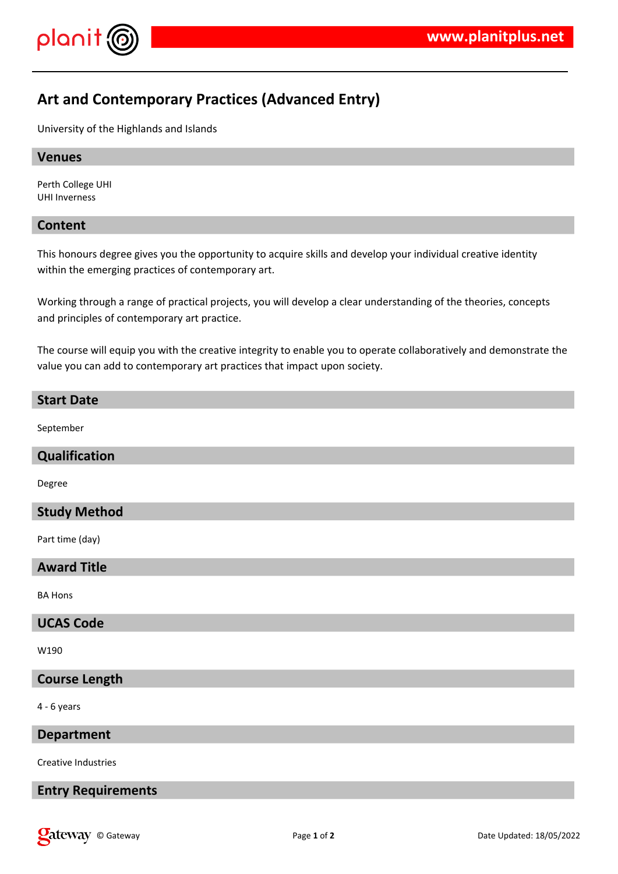

# **Art and Contemporary Practices (Advanced Entry)**

University of the Highlands and Islands

# **Venues**

Perth College UHI UHI Inverness

# **Content**

This honours degree gives you the opportunity to acquire skills and develop your individual creative identity within the emerging practices of contemporary art.

Working through a range of practical projects, you will develop a clear understanding of the theories, concepts and principles of contemporary art practice.

The course will equip you with the creative integrity to enable you to operate collaboratively and demonstrate the value you can add to contemporary art practices that impact upon society.

#### **Start Date**

September

#### **Qualification**

Degree

#### **Study Method**

Part time (day)

# **Award Title**

BA Hons

#### **UCAS Code**

W190

### **Course Length**

4 - 6 years

# **Department**

Creative Industries

# **Entry Requirements**